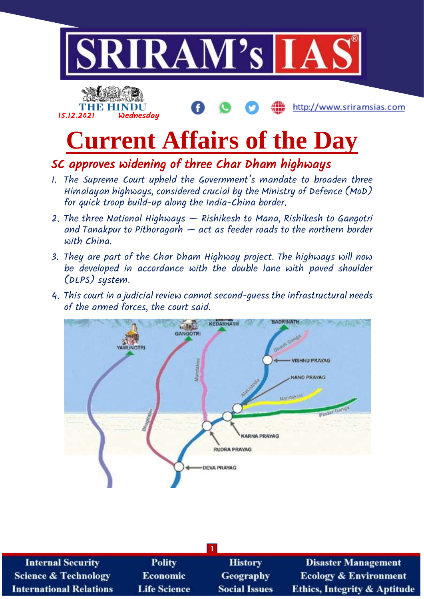

SC approves widening of three Char Dham highways

- 1. The Supreme Court upheld the Government's mandate to broaden three Himalayan highways, considered crucial by the Ministry of Defence (MoD) for quick troop build-up along the India-China border.
- 2. The three National Highways Rishikesh to Mana, Rishikesh to Gangotri and Tanakpur to Pithoragarh  $-$  act as feeder roads to the northern border with China.
- 3. They are part of the Char Dham Highway project. The highways will now be developed in accordance with the double lane with paved shoulder (DLPS) system.
- 4. This court in a judicial review cannot second-guess the infrastructural needs of the armed forces, the court said.



| <b>Internal Security</b>       | <b>Polity</b>       | <b>History</b>       | <b>Disaster Management</b>              |  |  |
|--------------------------------|---------------------|----------------------|-----------------------------------------|--|--|
| Science & Technology           | <b>Economic</b>     | <b>Geography</b>     | <b>Ecology &amp; Environment</b>        |  |  |
| <b>International Relations</b> | <b>Life Science</b> | <b>Social Issues</b> | <b>Ethics, Integrity &amp; Aptitude</b> |  |  |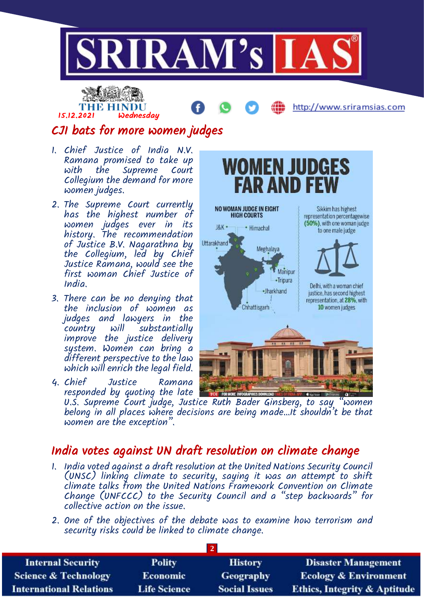



NO WOMAN JUDGE IN EIGHT

**HIGH COURTS** 

Himachal

Chhattisgarh

Meghalaya

·Jharkhand

J&K ·

**Uttarakhand** 

**WOMEN JUDGES** 

Manipur •Tripura

**FAR AND F** 

http://www.sriramsias.com

Sikkim has highest

representation percentagewise (50%), with one woman judge

to one male judge.

Delhi, with a woman chief

justice, has second highest representation, at 28%, with

10 women judges

# CJI bats for more women judges

- 1. Chief Justice of India N.V. Ramana promised to take up the Supreme Court Collegium the demand for more women judges.
- 2. The Supreme Court currently has the highest number of women judges ever in its history. The recommendation of Justice B.V. Nagarathna by the Collegium, led by Chief Justice Ramana, would see the first woman Chief Justice of India.
- 3. There can be no denying that the inclusion of women as judges and lawyers in the country will substantially improve the justice delivery system. Women can bring a different perspective to the law which will enrich the legal field.
- 4. Chief Justice Ramana responded by quoting the late U.S. Supreme Court judge, Justice Ruth Bader Ginsberg, to say "women belong in all places where decisions are being made…It shouldn't be that women are the exception".

## India votes against UN draft resolution on climate change

- 1. India voted against a draft resolution at the United Nations Security Council (UNSC) linking climate to security, saying it was an attempt to shift climate talks from the United Nations Framework Convention on Climate Change (UNFCCC) to the Security Council and a "step backwards" for collective action on the issue.
- 2. One of the objectives of the debate was to examine how terrorism and security risks could be linked to climate change.

| <b>Internal Security</b>        | <b>Polity</b>       | <b>History</b>       | <b>Disaster Management</b>              |  |  |
|---------------------------------|---------------------|----------------------|-----------------------------------------|--|--|
| <b>Science &amp; Technology</b> | <b>Economic</b>     | <b>Geography</b>     | <b>Ecology &amp; Environment</b>        |  |  |
| <b>International Relations</b>  | <b>Life Science</b> | <b>Social Issues</b> | <b>Ethics, Integrity &amp; Aptitude</b> |  |  |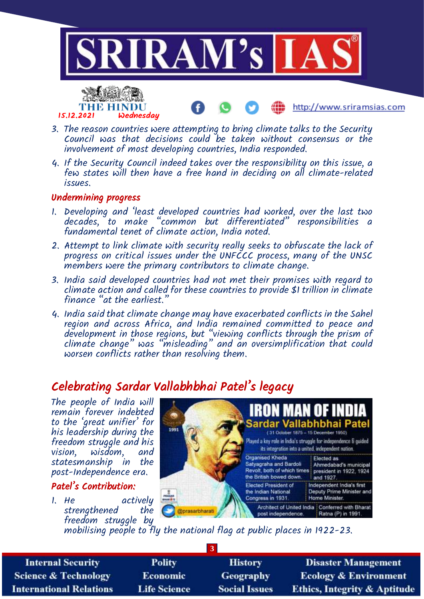

http://www.sriramsias.com

- 3. The reason countries were attempting to bring climate talks to the Security Council was that decisions could be taken without consensus or the involvement of most developing countries, India responded.
- 4. If the Security Council indeed takes over the responsibility on this issue, a few states will then have a free hand in deciding on all climate-related issues.

### Undermining progress

15.12.2021 Wednesday

THE HINDU

- 1. Developing and 'least developed countries had worked, over the last two decades, to make "common but differentiated" responsibilities a fundamental tenet of climate action, India noted.
- 2. Attempt to link climate with security really seeks to obfuscate the lack of progress on critical issues under the UNFCCC process, many of the UNSC members were the primary contributors to climate change.
- 3. India said developed countries had not met their promises with regard to climate action and called for these countries to provide \$1 trillion in climate finance "at the earliest.
- 4. India said that climate change may have exacerbated conflicts in the Sahel region and across Africa, and India remained committed to peace and development in those regions, but "viewing conflicts through the prism of climate change" was "misleading" and an oversimplification that could worsen conflicts rather than resolving them.

# Celebrating Sardar Vallabhbhai Patel's legacy

The people of India will remain forever indebted to the 'great unifier' for his leadership during the freedom struggle and his vision, wisdom, and statesmanship in the post-Independence era.

### Patel's Contribution:

1. He actively<br>strenathened the strengthened freedom struggle by



mobilising people to fly the national flag at public places in 1922-23.

| <b>Internal Security</b>        | <b>Polity</b>       | <b>History</b>       | <b>Disaster Management</b>              |  |  |
|---------------------------------|---------------------|----------------------|-----------------------------------------|--|--|
| <b>Science &amp; Technology</b> | <b>Economic</b>     | <b>Geography</b>     | <b>Ecology &amp; Environment</b>        |  |  |
| <b>International Relations</b>  | <b>Life Science</b> | <b>Social Issues</b> | <b>Ethics, Integrity &amp; Aptitude</b> |  |  |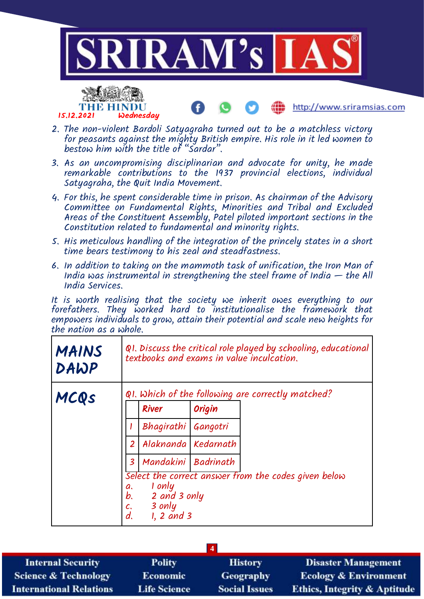

- 3. As an uncompromising disciplinarian and advocate for unity, he made remarkable contributions to the 1937 provincial elections, individual Satyagraha, the Quit India Movement.
- 4. For this, he spent considerable time in prison. As chairman of the Advisory Committee on Fundamental Rights, Minorities and Tribal and Excluded Areas of the Constituent Assembly, Patel piloted important sections in the Constitution related to fundamental and minority rights.
- 5. His meticulous handling of the integration of the princely states in a short time bears testimony to his zeal and steadfastness.
- 6. In addition to taking on the mammoth task of unification, the Iron Man of India was instrumental in strengthening the steel frame of India  $-$  the All India Services.

It is worth realising that the society we inherit owes everything to our forefathers. They worked hard to institutionalise the framework that empowers individuals to grow, attain their potential and scale new heights for the nation as a whole.

| <b>MAINS</b><br>DAWP | Q1. Discuss the critical role played by schooling, educational<br>textbooks and exams in value inculcation.                      |  |  |  |
|----------------------|----------------------------------------------------------------------------------------------------------------------------------|--|--|--|
| MCQS                 | $QI$ . Which of the following are correctly matched?                                                                             |  |  |  |
|                      | <b>River</b><br>Origin                                                                                                           |  |  |  |
|                      | Bhagirathi Gangotri                                                                                                              |  |  |  |
|                      | Alaknanda Kedarnath<br>$\overline{2}$                                                                                            |  |  |  |
|                      | Mandakini Badrinath<br>$\overline{\mathbf{3}}$                                                                                   |  |  |  |
|                      | Select the correct answer from the codes given below<br>1 only<br>a.<br>b.<br>2 and 3 only<br>3 only<br>c.<br>d.<br>$1, 2$ and 3 |  |  |  |

| <b>Internal Security</b>        | <b>Polity</b>       | <b>History</b>       | <b>Disaster Management</b>              |  |  |
|---------------------------------|---------------------|----------------------|-----------------------------------------|--|--|
| <b>Science &amp; Technology</b> | <b>Economic</b>     | <b>Geography</b>     | <b>Ecology &amp; Environment</b>        |  |  |
| <b>International Relations</b>  | <b>Life Science</b> | <b>Social Issues</b> | <b>Ethics, Integrity &amp; Aptitude</b> |  |  |
|                                 |                     |                      |                                         |  |  |